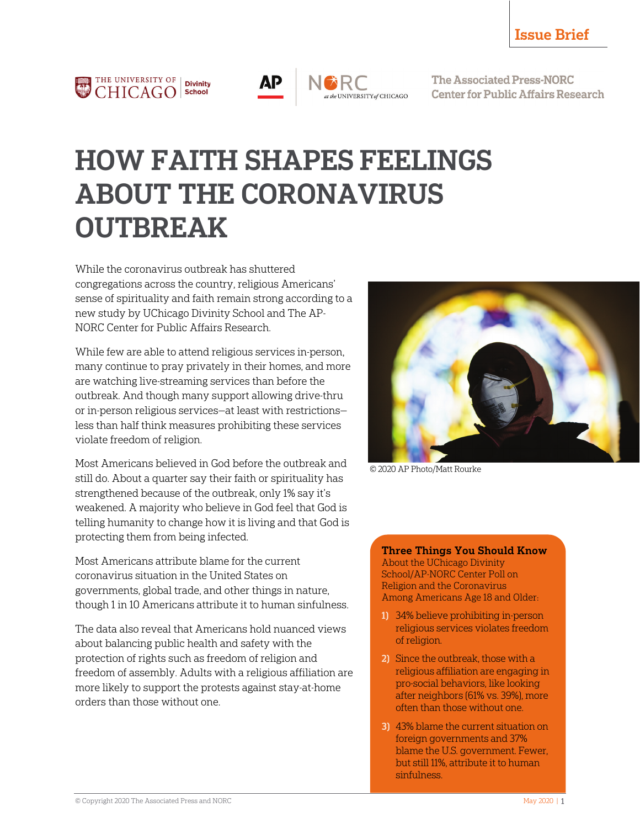

$$
\overline{AP}
$$

t the UNIVERSITY of CHICAGO

**The Associated Press-NORC Center for Public Affairs Research** 

# HOW FAITH SHAPES FEELINGS ABOUT THE CORONAVIRUS **OUTBREAK**

While the coronavirus outbreak has shuttered congregations across the country, religious Americans' sense of spirituality and faith remain strong according to a new study by UChicago Divinity School and The AP-NORC Center for Public Affairs Research.

While few are able to attend religious services in-person, many continue to pray privately in their homes, and more are watching live-streaming services than before the outbreak. And though many support allowing drive-thru or in-person religious services—at least with restrictions less than half think measures prohibiting these services violate freedom of religion.

Most Americans believed in God before the outbreak and still do. About a quarter say their faith or spirituality has strengthened because of the outbreak, only 1% say it's weakened. A majority who believe in God feel that God is telling humanity to change how it is living and that God is protecting them from being infected.

Most Americans attribute blame for the current coronavirus situation in the United States on governments, global trade, and other things in nature, though 1 in 10 Americans attribute it to human sinfulness.

The data also reveal that Americans hold nuanced views about balancing public health and safety with the protection of rights such as freedom of religion and freedom of assembly. Adults with a religious affiliation are more likely to support the protests against stay-at-home orders than those without one.



© 2020 AP Photo/Matt Rourke

#### Three Things You Should Know

About the UChicago Divinity School/AP-NORC Center Poll on Religion and the Coronavirus Among Americans Age 18 and Older:

- 1) 34% believe prohibiting in-person religious services violates freedom of religion.
- 2) Since the outbreak, those with a religious affiliation are engaging in pro-social behaviors, like looking after neighbors (61% vs. 39%), more often than those without one.
- 3) 43% blame the current situation on foreign governments and 37% blame the U.S. government. Fewer, but still 11%, attribute it to human sinfulness.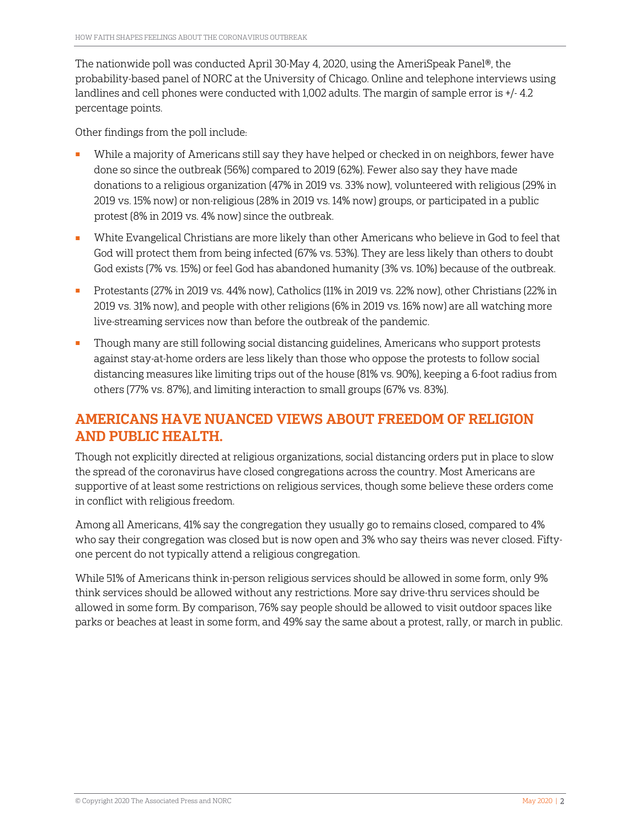The nationwide poll was conducted April 30-May 4, 2020, using the AmeriSpeak Panel®, the probability-based panel of NORC at the University of Chicago. Online and telephone interviews using landlines and cell phones were conducted with 1,002 adults. The margin of sample error is +/- 4.2 percentage points.

Other findings from the poll include:

- While a majority of Americans still say they have helped or checked in on neighbors, fewer have done so since the outbreak (56%) compared to 2019 (62%). Fewer also say they have made donations to a religious organization (47% in 2019 vs. 33% now), volunteered with religious (29% in 2019 vs. 15% now) or non-religious (28% in 2019 vs. 14% now) groups, or participated in a public protest (8% in 2019 vs. 4% now) since the outbreak.
- White Evangelical Christians are more likely than other Americans who believe in God to feel that God will protect them from being infected (67% vs. 53%). They are less likely than others to doubt God exists (7% vs. 15%) or feel God has abandoned humanity (3% vs. 10%) because of the outbreak.
- Protestants (27% in 2019 vs. 44% now), Catholics (11% in 2019 vs. 22% now), other Christians (22% in 2019 vs. 31% now), and people with other religions (6% in 2019 vs. 16% now) are all watching more live-streaming services now than before the outbreak of the pandemic.
- Though many are still following social distancing guidelines, Americans who support protests against stay-at-home orders are less likely than those who oppose the protests to follow social distancing measures like limiting trips out of the house (81% vs. 90%), keeping a 6-foot radius from others (77% vs. 87%), and limiting interaction to small groups (67% vs. 83%).

### AMERICANS HAVE NUANCED VIEWS ABOUT FREEDOM OF RELIGION AND PUBLIC HEALTH.

Though not explicitly directed at religious organizations, social distancing orders put in place to slow the spread of the coronavirus have closed congregations across the country. Most Americans are supportive of at least some restrictions on religious services, though some believe these orders come in conflict with religious freedom.

Among all Americans, 41% say the congregation they usually go to remains closed, compared to 4% who say their congregation was closed but is now open and 3% who say theirs was never closed. Fiftyone percent do not typically attend a religious congregation.

While 51% of Americans think in-person religious services should be allowed in some form, only 9% think services should be allowed without any restrictions. More say drive-thru services should be allowed in some form. By comparison, 76% say people should be allowed to visit outdoor spaces like parks or beaches at least in some form, and 49% say the same about a protest, rally, or march in public.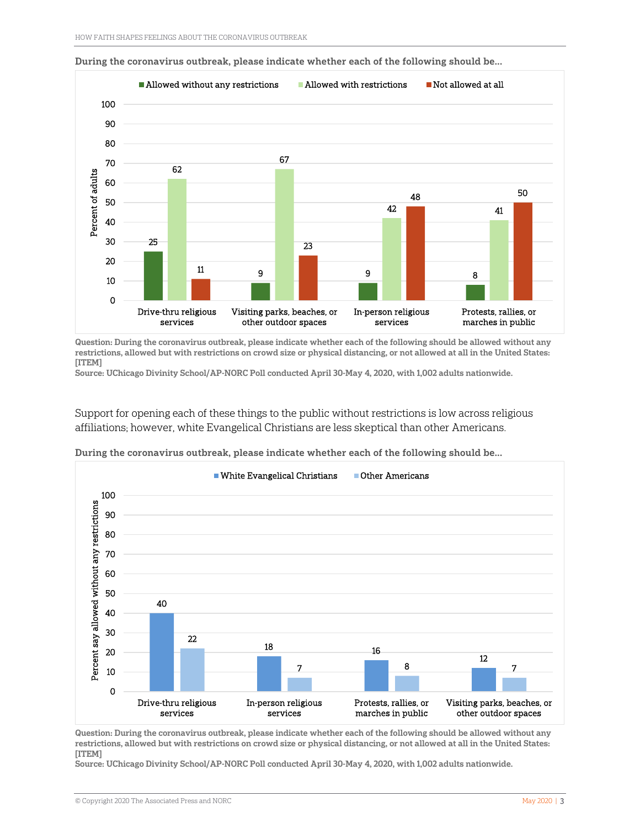

During the coronavirus outbreak, please indicate whether each of the following should be...

Question: During the coronavirus outbreak, please indicate whether each of the following should be allowed without any restrictions, allowed but with restrictions on crowd size or physical distancing, or not allowed at all in the United States: [ITEM]

Source: UChicago Divinity School/AP-NORC Poll conducted April 30-May 4, 2020, with 1,002 adults nationwide.

Support for opening each of these things to the public without restrictions is low across religious affiliations; however, white Evangelical Christians are less skeptical than other Americans.



During the coronavirus outbreak, please indicate whether each of the following should be...

Question: During the coronavirus outbreak, please indicate whether each of the following should be allowed without any restrictions, allowed but with restrictions on crowd size or physical distancing, or not allowed at all in the United States: [ITEM]

Source: UChicago Divinity School/AP-NORC Poll conducted April 30-May 4, 2020, with 1,002 adults nationwide.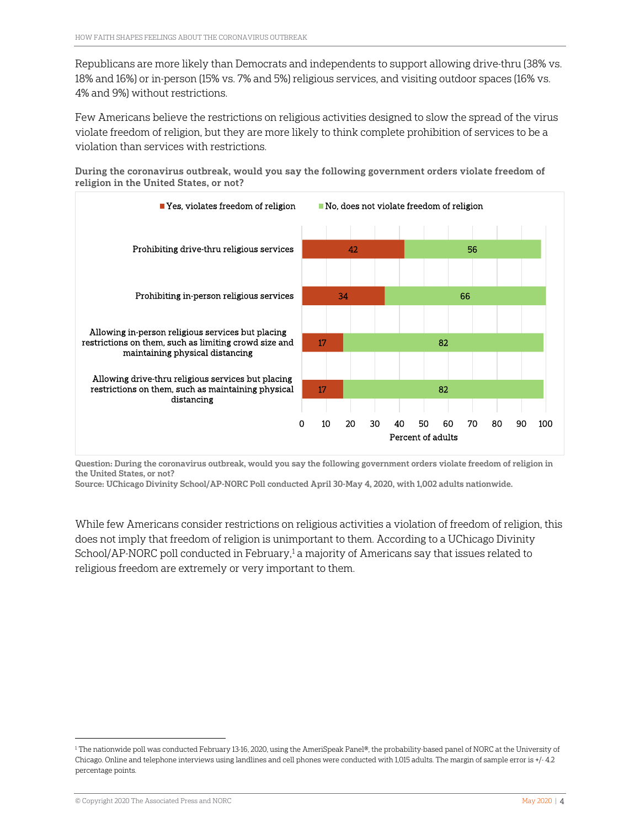Republicans are more likely than Democrats and independents to support allowing drive-thru (38% vs. 18% and 16%) or in-person (15% vs. 7% and 5%) religious services, and visiting outdoor spaces (16% vs. 4% and 9%) without restrictions.

Few Americans believe the restrictions on religious activities designed to slow the spread of the virus violate freedom of religion, but they are more likely to think complete prohibition of services to be a violation than services with restrictions.

During the coronavirus outbreak, would you say the following government orders violate freedom of religion in the United States, or not?



Question: During the coronavirus outbreak, would you say the following government orders violate freedom of religion in the United States, or not?

Source: UChicago Divinity School/AP-NORC Poll conducted April 30-May 4, 2020, with 1,002 adults nationwide.

While few Americans consider restrictions on religious activities a violation of freedom of religion, this does not imply that freedom of religion is unimportant to them. According to a UChicago Divinity School/AP-NORC poll conducted in February, $1$  a majority of Americans say that issues related to religious freedom are extremely or very important to them.

 $\overline{\phantom{a}}$ 

<span id="page-3-0"></span><sup>1</sup> The nationwide poll was conducted February 13-16, 2020, using the AmeriSpeak Panel®, the probability-based panel of NORC at the University of Chicago. Online and telephone interviews using landlines and cell phones were conducted with 1,015 adults. The margin of sample error is +/- 4.2 percentage points.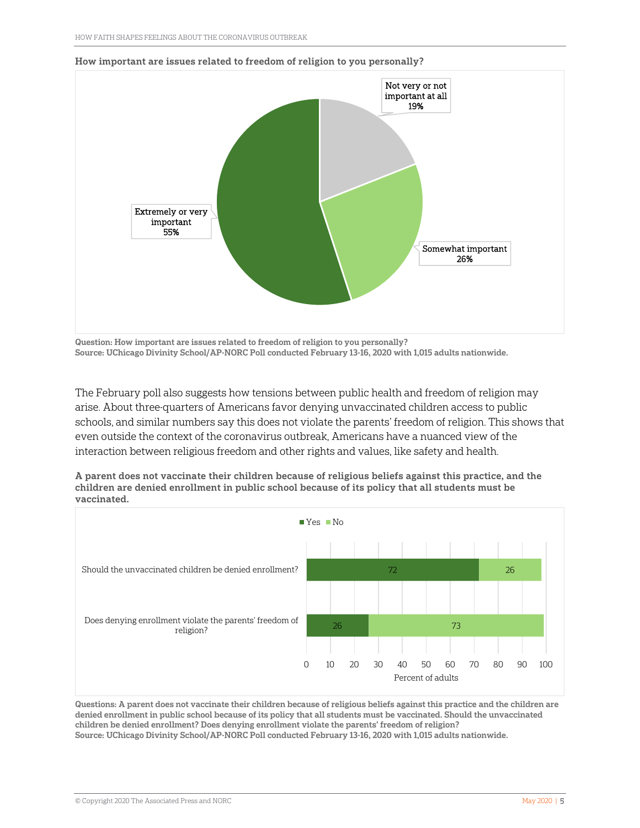

#### How important are issues related to freedom of religion to you personally?

Question: How important are issues related to freedom of religion to you personally? Source: UChicago Divinity School/AP-NORC Poll conducted February 13-16, 2020 with 1,015 adults nationwide.

The February poll also suggests how tensions between public health and freedom of religion may arise. About three-quarters of Americans favor denying unvaccinated children access to public schools, and similar numbers say this does not violate the parents' freedom of religion. This shows that even outside the context of the coronavirus outbreak, Americans have a nuanced view of the interaction between religious freedom and other rights and values, like safety and health.

A parent does not vaccinate their children because of religious beliefs against this practice, and the children are denied enrollment in public school because of its policy that all students must be vaccinated.



Questions: A parent does not vaccinate their children because of religious beliefs against this practice and the children are denied enrollment in public school because of its policy that all students must be vaccinated. Should the unvaccinated children be denied enrollment? Does denying enrollment violate the parents' freedom of religion? Source: UChicago Divinity School/AP-NORC Poll conducted February 13-16, 2020 with 1,015 adults nationwide.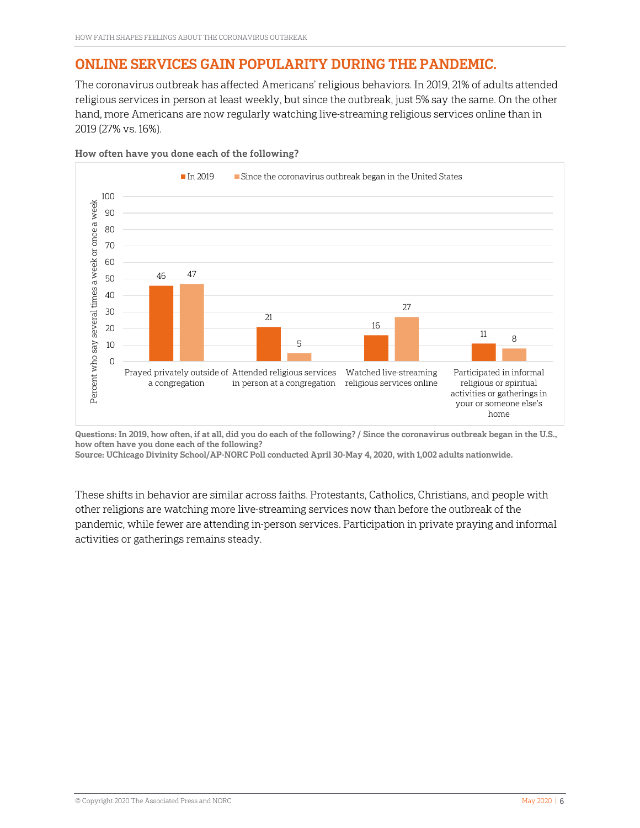# ONLINE SERVICES GAIN POPULARITY DURING THE PANDEMIC.

The coronavirus outbreak has affected Americans' religious behaviors. In 2019, 21% of adults attended religious services in person at least weekly, but since the outbreak, just 5% say the same. On the other hand, more Americans are now regularly watching live-streaming religious services online than in 2019 (27% vs. 16%).



How often have you done each of the following?

Questions: In 2019, how often, if at all, did you do each of the following? / Since the coronavirus outbreak began in the U.S., how often have you done each of the following?

Source: UChicago Divinity School/AP-NORC Poll conducted April 30-May 4, 2020, with 1,002 adults nationwide.

These shifts in behavior are similar across faiths. Protestants, Catholics, Christians, and people with other religions are watching more live-streaming services now than before the outbreak of the pandemic, while fewer are attending in-person services. Participation in private praying and informal activities or gatherings remains steady.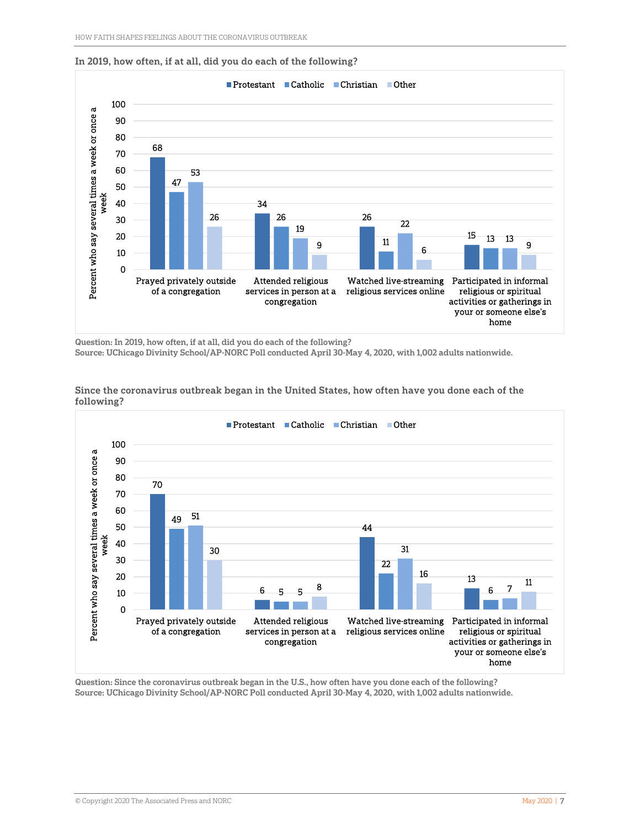



Question: In 2019, how often, if at all, did you do each of the following? Source: UChicago Divinity School/AP-NORC Poll conducted April 30-May 4, 2020, with 1,002 adults nationwide.



Since the coronavirus outbreak began in the United States, how often have you done each of the following?

Question: Since the coronavirus outbreak began in the U.S., how often have you done each of the following? Source: UChicago Divinity School/AP-NORC Poll conducted April 30-May 4, 2020, with 1,002 adults nationwide.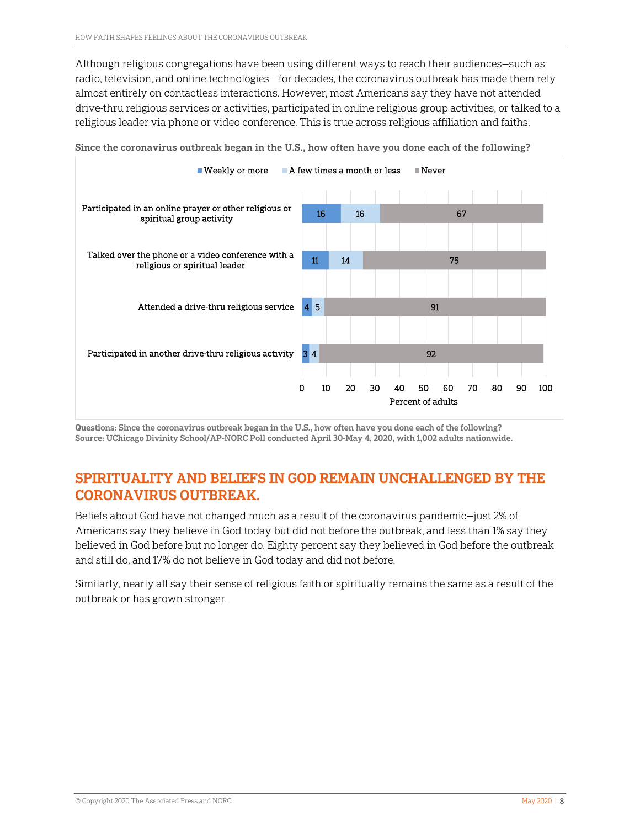Although religious congregations have been using different ways to reach their audiences—such as radio, television, and online technologies— for decades, the coronavirus outbreak has made them rely almost entirely on contactless interactions. However, most Americans say they have not attended drive-thru religious services or activities, participated in online religious group activities, or talked to a religious leader via phone or video conference. This is true across religious affiliation and faiths.



Since the coronavirus outbreak began in the U.S., how often have you done each of the following?

Questions: Since the coronavirus outbreak began in the U.S., how often have you done each of the following? Source: UChicago Divinity School/AP-NORC Poll conducted April 30-May 4, 2020, with 1,002 adults nationwide.

#### SPIRITUALITY AND BELIEFS IN GOD REMAIN UNCHALLENGED BY THE CORONAVIRUS OUTBREAK.

Beliefs about God have not changed much as a result of the coronavirus pandemic—just 2% of Americans say they believe in God today but did not before the outbreak, and less than 1% say they believed in God before but no longer do. Eighty percent say they believed in God before the outbreak and still do, and 17% do not believe in God today and did not before.

Similarly, nearly all say their sense of religious faith or spiritualty remains the same as a result of the outbreak or has grown stronger.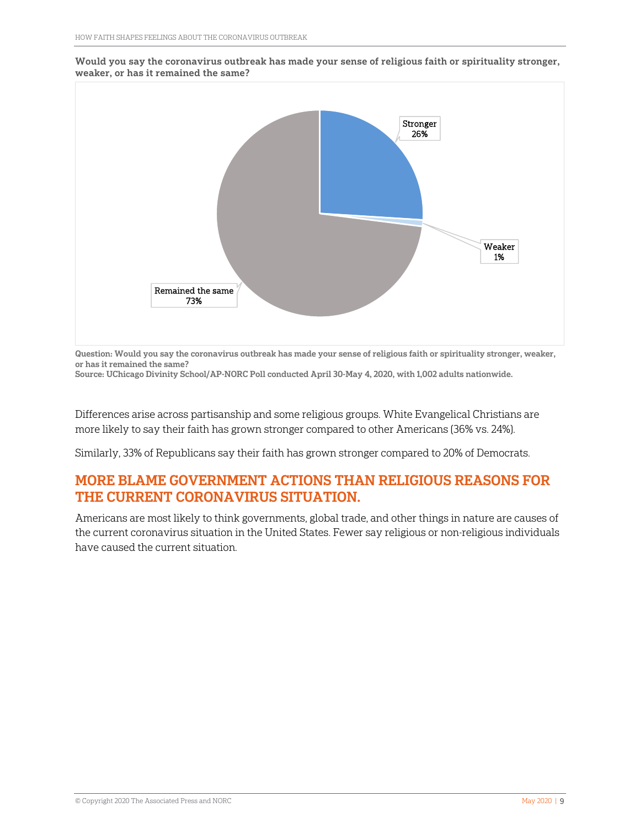



Question: Would you say the coronavirus outbreak has made your sense of religious faith or spirituality stronger, weaker, or has it remained the same?

Source: UChicago Divinity School/AP-NORC Poll conducted April 30-May 4, 2020, with 1,002 adults nationwide.

Differences arise across partisanship and some religious groups. White Evangelical Christians are more likely to say their faith has grown stronger compared to other Americans (36% vs. 24%).

Similarly, 33% of Republicans say their faith has grown stronger compared to 20% of Democrats.

#### MORE BLAME GOVERNMENT ACTIONS THAN RELIGIOUS REASONS FOR THE CURRENT CORONAVIRUS SITUATION.

Americans are most likely to think governments, global trade, and other things in nature are causes of the current coronavirus situation in the United States. Fewer say religious or non-religious individuals have caused the current situation.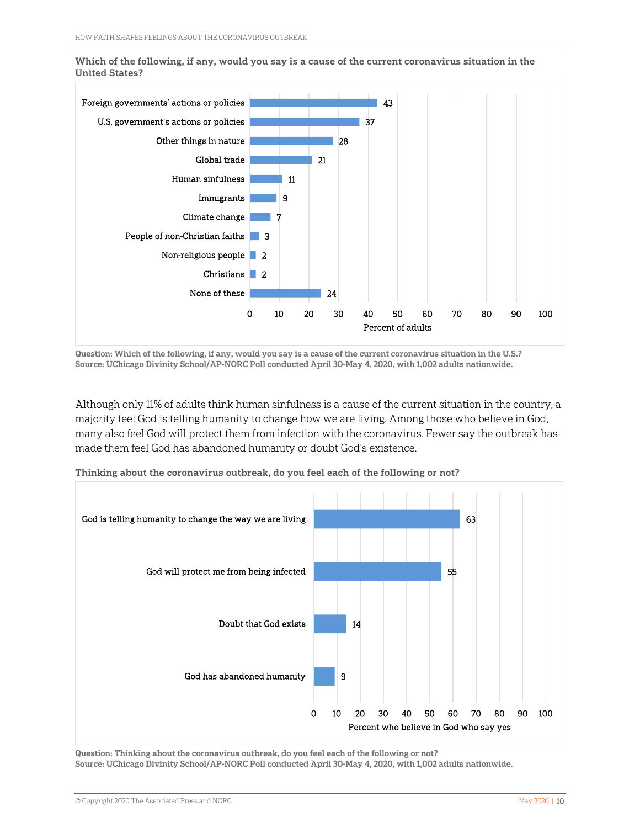24 2 Christians 2 Non-religious people 3 People of non-Christian faiths 7 9 11 21 28 37 43 0 10 20 30 40 50 60 70 80 90 100 None of these Climate change Immigrants Human sinfulness Global trade Other things in nature U.S. government's actions or policies Foreign governments' actions or policies Percent of adults

Which of the following, if any, would you say is a cause of the current coronavirus situation in the United States?

Question: Which of the following, if any, would you say is a cause of the current coronavirus situation in the U.S.? Source: UChicago Divinity School/AP-NORC Poll conducted April 30-May 4, 2020, with 1,002 adults nationwide.

Although only 11% of adults think human sinfulness is a cause of the current situation in the country, a majority feel God is telling humanity to change how we are living. Among those who believe in God, many also feel God will protect them from infection with the coronavirus. Fewer say the outbreak has made them feel God has abandoned humanity or doubt God's existence.



Thinking about the coronavirus outbreak, do you feel each of the following or not?

Question: Thinking about the coronavirus outbreak, do you feel each of the following or not? Source: UChicago Divinity School/AP-NORC Poll conducted April 30-May 4, 2020, with 1,002 adults nationwide.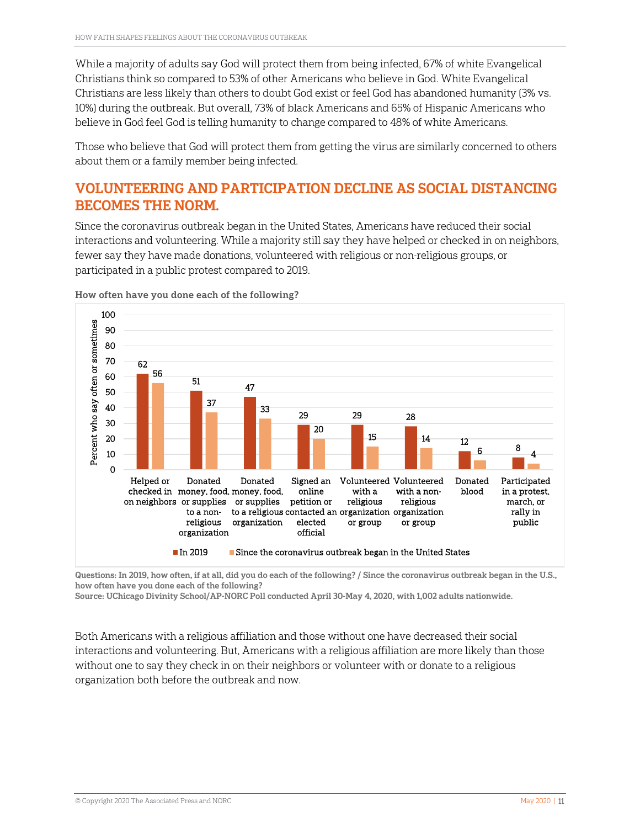While a majority of adults say God will protect them from being infected, 67% of white Evangelical Christians think so compared to 53% of other Americans who believe in God. White Evangelical Christians are less likely than others to doubt God exist or feel God has abandoned humanity (3% vs. 10%) during the outbreak. But overall, 73% of black Americans and 65% of Hispanic Americans who believe in God feel God is telling humanity to change compared to 48% of white Americans.

Those who believe that God will protect them from getting the virus are similarly concerned to others about them or a family member being infected.

# VOLUNTEERING AND PARTICIPATION DECLINE AS SOCIAL DISTANCING BECOMES THE NORM.

Since the coronavirus outbreak began in the United States, Americans have reduced their social interactions and volunteering. While a majority still say they have helped or checked in on neighbors, fewer say they have made donations, volunteered with religious or non-religious groups, or participated in a public protest compared to 2019.



How often have you done each of the following?

Questions: In 2019, how often, if at all, did you do each of the following? / Since the coronavirus outbreak began in the U.S., how often have you done each of the following?

Source: UChicago Divinity School/AP-NORC Poll conducted April 30-May 4, 2020, with 1,002 adults nationwide.

Both Americans with a religious affiliation and those without one have decreased their social interactions and volunteering. But, Americans with a religious affiliation are more likely than those without one to say they check in on their neighbors or volunteer with or donate to a religious organization both before the outbreak and now.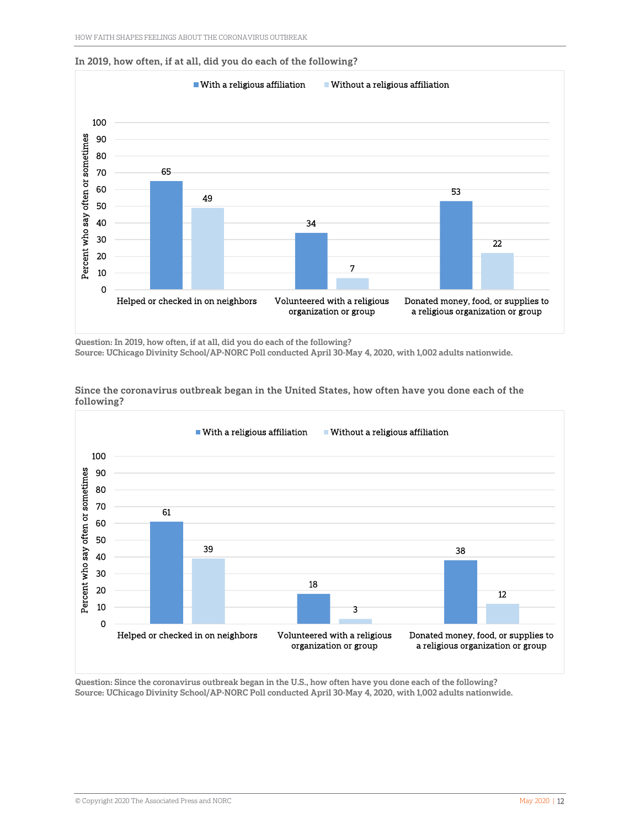



Question: In 2019, how often, if at all, did you do each of the following? Source: UChicago Divinity School/AP-NORC Poll conducted April 30-May 4, 2020, with 1,002 adults nationwide.



Since the coronavirus outbreak began in the United States, how often have you done each of the following?

Question: Since the coronavirus outbreak began in the U.S., how often have you done each of the following? Source: UChicago Divinity School/AP-NORC Poll conducted April 30-May 4, 2020, with 1,002 adults nationwide.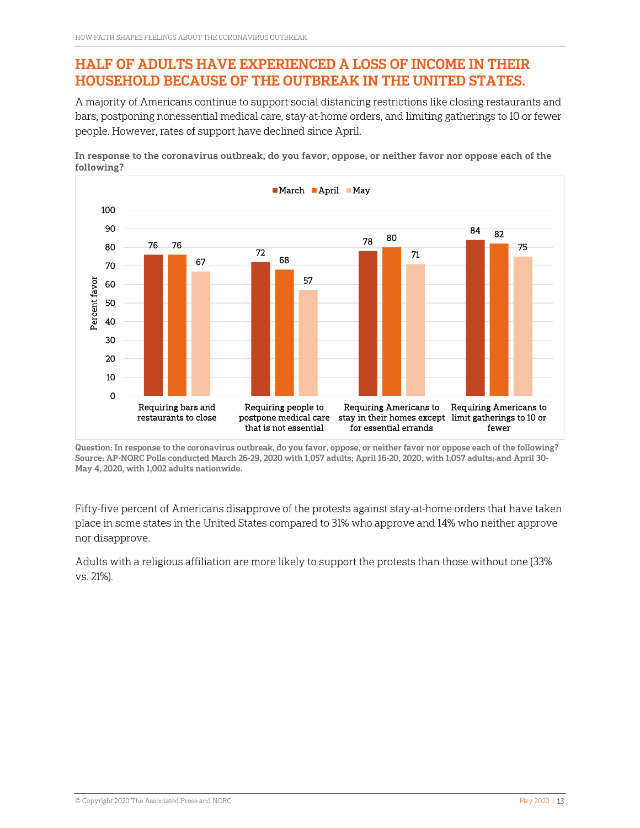# HALF OF ADULTS HAVE EXPERIENCED A LOSS OF INCOME IN THEIR HOUSEHOLD BECAUSE OF THE OUTBREAK IN THE UNITED STATES.

A majority of Americans continue to support social distancing restrictions like closing restaurants and bars, postponing nonessential medical care, stay-at-home orders, and limiting gatherings to 10 or fewer people. However, rates of support have declined since April.

In response to the coronavirus outbreak, do you favor, oppose, or neither favor nor oppose each of the following?



Question: In response to the coronavirus outbreak, do you favor, oppose, or neither favor nor oppose each of the following? Source: AP-NORC Polls conducted March 26-29, 2020 with 1,057 adults; April 16-20, 2020, with 1,057 adults; and April 30- May 4, 2020, with 1,002 adults nationwide.

Fifty-five percent of Americans disapprove of the protests against stay-at-home orders that have taken place in some states in the United States compared to 31% who approve and 14% who neither approve nor disapprove.

Adults with a religious affiliation are more likely to support the protests than those without one (33% vs. 21%).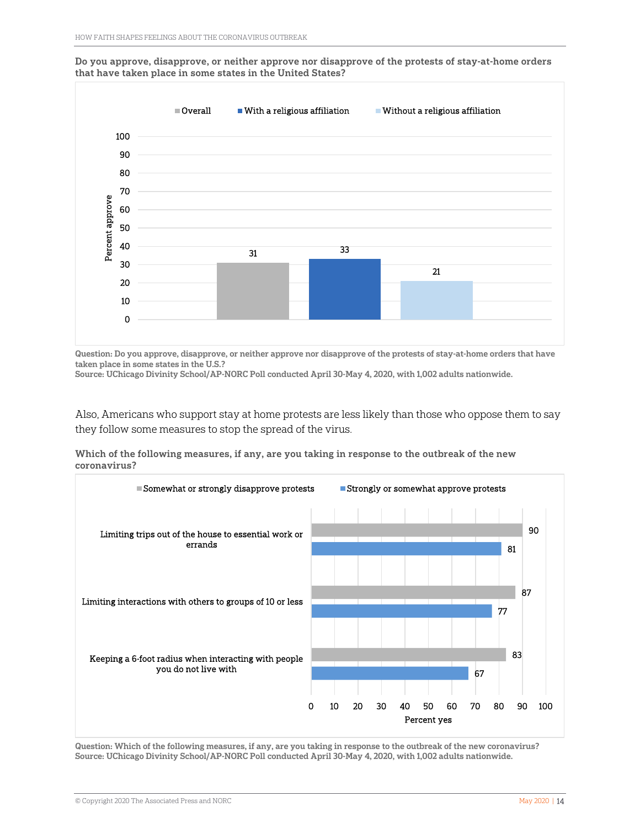Do you approve, disapprove, or neither approve nor disapprove of the protests of stay-at-home orders that have taken place in some states in the United States?



Question: Do you approve, disapprove, or neither approve nor disapprove of the protests of stay-at-home orders that have taken place in some states in the U.S.? Source: UChicago Divinity School/AP-NORC Poll conducted April 30-May 4, 2020, with 1,002 adults nationwide.

Also, Americans who support stay at home protests are less likely than those who oppose them to say they follow some measures to stop the spread of the virus.

Which of the following measures, if any, are you taking in response to the outbreak of the new coronavirus?



Question: Which of the following measures, if any, are you taking in response to the outbreak of the new coronavirus? Source: UChicago Divinity School/AP-NORC Poll conducted April 30-May 4, 2020, with 1,002 adults nationwide.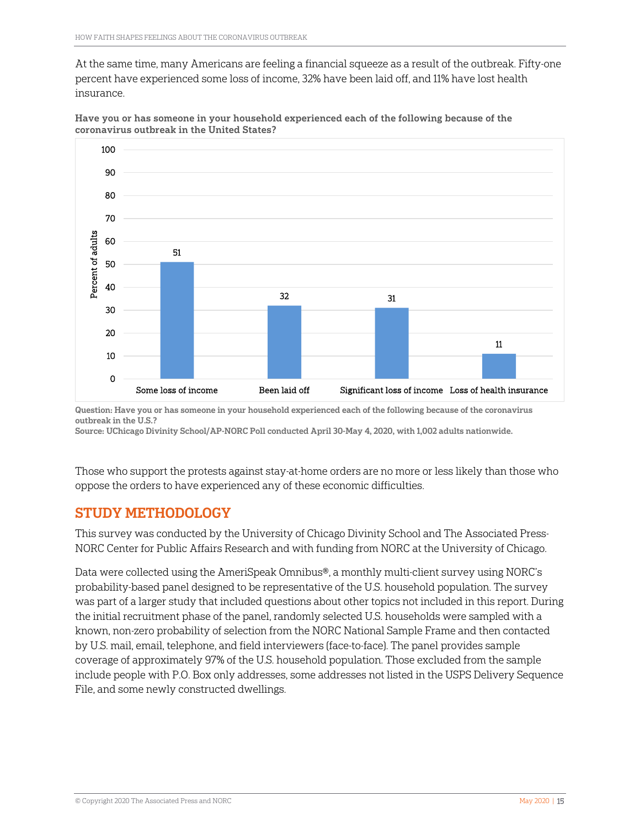At the same time, many Americans are feeling a financial squeeze as a result of the outbreak. Fifty-one percent have experienced some loss of income, 32% have been laid off, and 11% have lost health insurance.



Have you or has someone in your household experienced each of the following because of the coronavirus outbreak in the United States?

Question: Have you or has someone in your household experienced each of the following because of the coronavirus outbreak in the U.S.?

Source: UChicago Divinity School/AP-NORC Poll conducted April 30-May 4, 2020, with 1,002 adults nationwide.

Those who support the protests against stay-at-home orders are no more or less likely than those who oppose the orders to have experienced any of these economic difficulties.

#### STUDY METHODOLOGY

This survey was conducted by the University of Chicago Divinity School and The Associated Press-NORC Center for Public Affairs Research and with funding from NORC at the University of Chicago.

Data were collected using the AmeriSpeak Omnibus®, a monthly multi-client survey using NORC's probability-based panel designed to be representative of the U.S. household population. The survey was part of a larger study that included questions about other topics not included in this report. During the initial recruitment phase of the panel, randomly selected U.S. households were sampled with a known, non-zero probability of selection from the NORC National Sample Frame and then contacted by U.S. mail, email, telephone, and field interviewers (face-to-face). The panel provides sample coverage of approximately 97% of the U.S. household population. Those excluded from the sample include people with P.O. Box only addresses, some addresses not listed in the USPS Delivery Sequence File, and some newly constructed dwellings.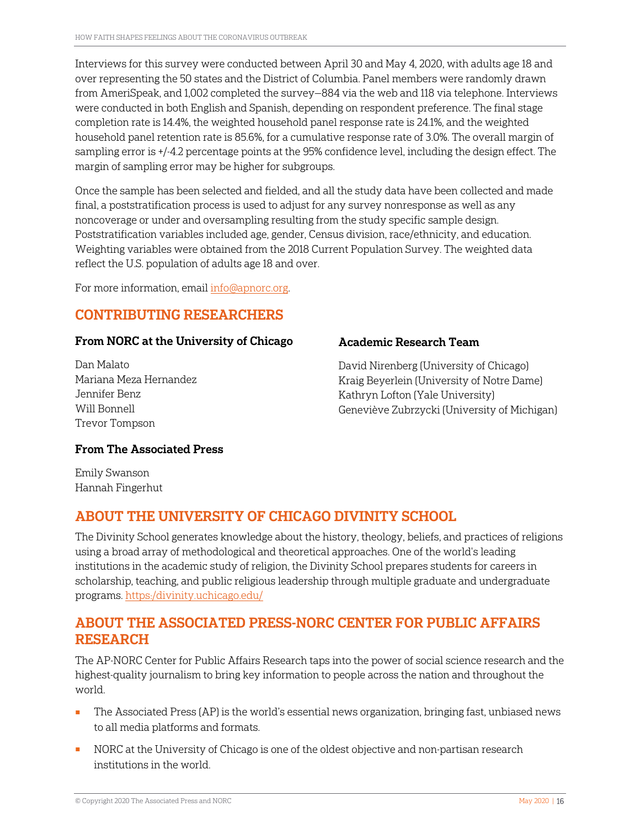Interviews for this survey were conducted between April 30 and May 4, 2020, with adults age 18 and over representing the 50 states and the District of Columbia. Panel members were randomly drawn from AmeriSpeak, and 1,002 completed the survey—884 via the web and 118 via telephone. Interviews were conducted in both English and Spanish, depending on respondent preference. The final stage completion rate is 14.4%, the weighted household panel response rate is 24.1%, and the weighted household panel retention rate is 85.6%, for a cumulative response rate of 3.0%. The overall margin of sampling error is +/-4.2 percentage points at the 95% confidence level, including the design effect. The margin of sampling error may be higher for subgroups.

Once the sample has been selected and fielded, and all the study data have been collected and made final, a poststratification process is used to adjust for any survey nonresponse as well as any noncoverage or under and oversampling resulting from the study specific sample design. Poststratification variables included age, gender, Census division, race/ethnicity, and education. Weighting variables were obtained from the 2018 Current Population Survey. The weighted data reflect the U.S. population of adults age 18 and over.

For more information, email [info@apnorc.org.](mailto:info@apnorc.org)

### CONTRIBUTING RESEARCHERS

#### From NORC at the University of Chicago

Dan Malato Mariana Meza Hernandez Jennifer Benz Will Bonnell Trevor Tompson

#### Academic Research Team

David Nirenberg (University of Chicago) Kraig Beyerlein (University of Notre Dame) Kathryn Lofton (Yale University) Geneviève Zubrzycki (University of Michigan)

#### From The Associated Press

Emily Swanson Hannah Fingerhut

# ABOUT THE UNIVERSITY OF CHICAGO DIVINITY SCHOOL

The Divinity School generates knowledge about the history, theology, beliefs, and practices of religions using a broad array of methodological and theoretical approaches. One of the world's leading institutions in the academic study of religion, the Divinity School prepares students for careers in scholarship, teaching, and public religious leadership through multiple graduate and undergraduate programs. [https:/divinity.uchicago.edu/](https://divinity.uchicago.edu/) 

#### ABOUT THE ASSOCIATED PRESS-NORC CENTER FOR PUBLIC AFFAIRS RESEARCH

The AP-NORC Center for Public Affairs Research taps into the power of social science research and the highest-quality journalism to bring key information to people across the nation and throughout the world.

- The Associated Press (AP) is the world's essential news organization, bringing fast, unbiased news to all media platforms and formats.
- NORC at the University of Chicago is one of the oldest objective and non-partisan research institutions in the world.